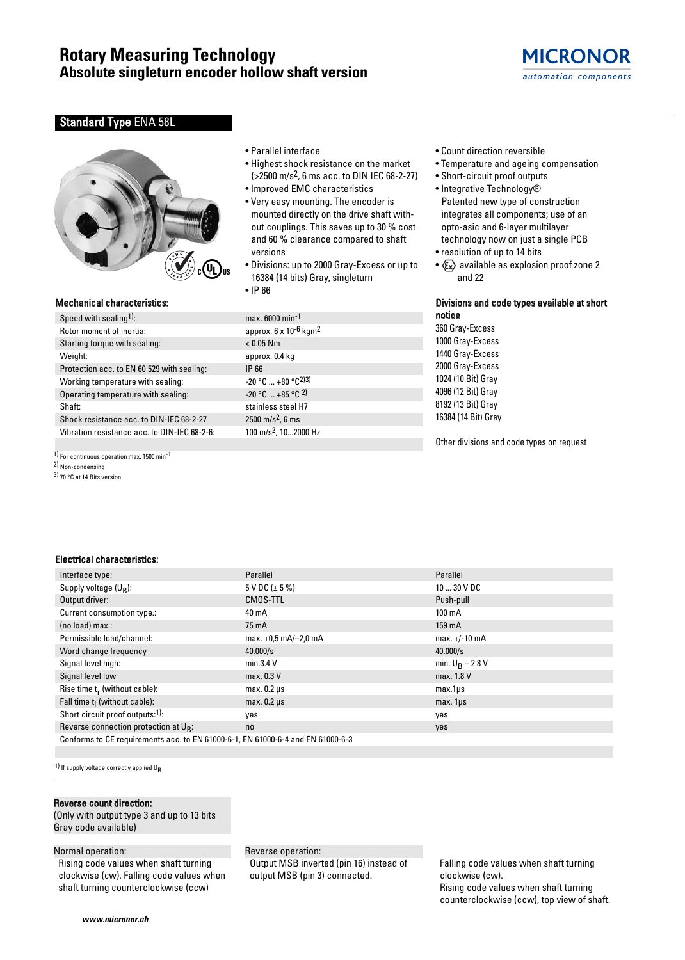

## **Standard Type ENA 58L**



### Mechanical characteristics:

| Speed with sealing <sup>1)</sup> :           | max.   |  |  |  |  |  |  |  |  |
|----------------------------------------------|--------|--|--|--|--|--|--|--|--|
| Rotor moment of inertia:                     |        |  |  |  |  |  |  |  |  |
| Starting torque with sealing:                |        |  |  |  |  |  |  |  |  |
| Weight:                                      | appr   |  |  |  |  |  |  |  |  |
| Protection acc. to EN 60 529 with sealing:   | IP 66  |  |  |  |  |  |  |  |  |
| Working temperature with sealing:            |        |  |  |  |  |  |  |  |  |
| Operating temperature with sealing:          | $-20°$ |  |  |  |  |  |  |  |  |
| Shaft:                                       | stain  |  |  |  |  |  |  |  |  |
| Shock resistance acc. to DIN-IEC 68-2-27     | 2500   |  |  |  |  |  |  |  |  |
| Vibration resistance acc. to DIN-IEC 68-2-6: | 100 r  |  |  |  |  |  |  |  |  |
|                                              |        |  |  |  |  |  |  |  |  |

1) For continuous operation max. 1500 min-1

2) Non-condensing

3) 70 °C at 14 Bits version

- Parallel interface
- Highest shock resistance on the market (>2500 m/s2, 6 ms acc. to DIN IEC 68-2-27)
- Improved EMC characteristics
- Very easy mounting. The encoder is mounted directly on the drive shaft without couplings. This saves up to 30 % cost and 60 % clearance compared to shaft versions
- Divisions: up to 2000 Gray-Excess or up to 16384 (14 bits) Gray, singleturn
- IP 66

 $max. 6000 min<sup>-1</sup>$ approx.  $6 \times 10^{-6}$  kgm<sup>2</sup>  $< 0.05$  Nm approx. 0.4 kg  $-20 °C ... +80 °C^{2}$  $-20$  °C  $... +85$  °C  $2)$ stainless steel H7  $2500 \text{ m/s}^2$ , 6 ms 100 m/s<sup>2</sup>, 10...2000 Hz

- Count direction reversible
- Temperature and ageing compensation
- Short-circuit proof outputs • Integrative Technology® Patented new type of construction integrates all components; use of an opto-asic and 6-layer multilayer technology now on just a single PCB
- resolution of up to 14 bits
- $\langle \xi_{\mathbf{x}} \rangle$  available as explosion proof zone 2 and 22

## Divisions and code types available at short notice

360 Gray-Excess 1000 Gray-Excess 1440 Gray-Excess 2000 Gray-Excess 1024 (10 Bit) Gray 4096 (12 Bit) Gray 8192 (13 Bit) Gray 16384 (14 Bit) Gray

Other divisions and code types on request

## Electrical characteristics:

| Interface type:                                                                 | Parallel               | Parallel              |  |  |  |  |  |  |
|---------------------------------------------------------------------------------|------------------------|-----------------------|--|--|--|--|--|--|
| Supply voltage $(U_R)$ :                                                        | $5$ V DC ( $\pm$ 5 %)  | $1030$ V DC           |  |  |  |  |  |  |
| Output driver:                                                                  | CMOS-TTL               | Push-pull             |  |  |  |  |  |  |
| Current consumption type.:                                                      | 40 mA                  | $100 \text{ mA}$      |  |  |  |  |  |  |
| (no load) max.:                                                                 | 75 mA                  | 159 mA                |  |  |  |  |  |  |
| Permissible load/channel:                                                       | max. $+0.5$ mA/-2.0 mA | $max. +/-10 mA$       |  |  |  |  |  |  |
| Word change frequency                                                           | 40.000/s               | 40.000/s              |  |  |  |  |  |  |
| Signal level high:                                                              | min.3.4 V              | min. $U_B - 2.8 V$    |  |  |  |  |  |  |
| Signal level low                                                                | max. 0.3 V             | max. 1.8 V            |  |  |  |  |  |  |
| Rise time $t_r$ (without cable):                                                | $max. 0.2 \mu s$       | $max.1\mu s$          |  |  |  |  |  |  |
| Fall time $t_f$ (without cable):                                                | $max. 0.2 \mu s$       | max. 1 <sub>µ</sub> s |  |  |  |  |  |  |
| Short circuit proof outputs:1):                                                 | yes                    | yes                   |  |  |  |  |  |  |
| Reverse connection protection at $U_{R}$ :                                      | no                     | yes                   |  |  |  |  |  |  |
| Conforms to CE requirements acc. to EN 61000-6-1, EN 61000-6-4 and EN 61000-6-3 |                        |                       |  |  |  |  |  |  |

 $1)$  If supply voltage correctly applied  $U_B$ 

#### Reverse count direction:

(Only with output type 3 and up to 13 bits Gray code available)

#### Normal operation:

.

Rising code values when shaft turning clockwise (cw). Falling code values when shaft turning counterclockwise (ccw)

#### Reverse operation:

Output MSB inverted (pin 16) instead of output MSB (pin 3) connected.

Falling code values when shaft turning clockwise (cw). Rising code values when shaft turning counterclockwise (ccw), top view of shaft.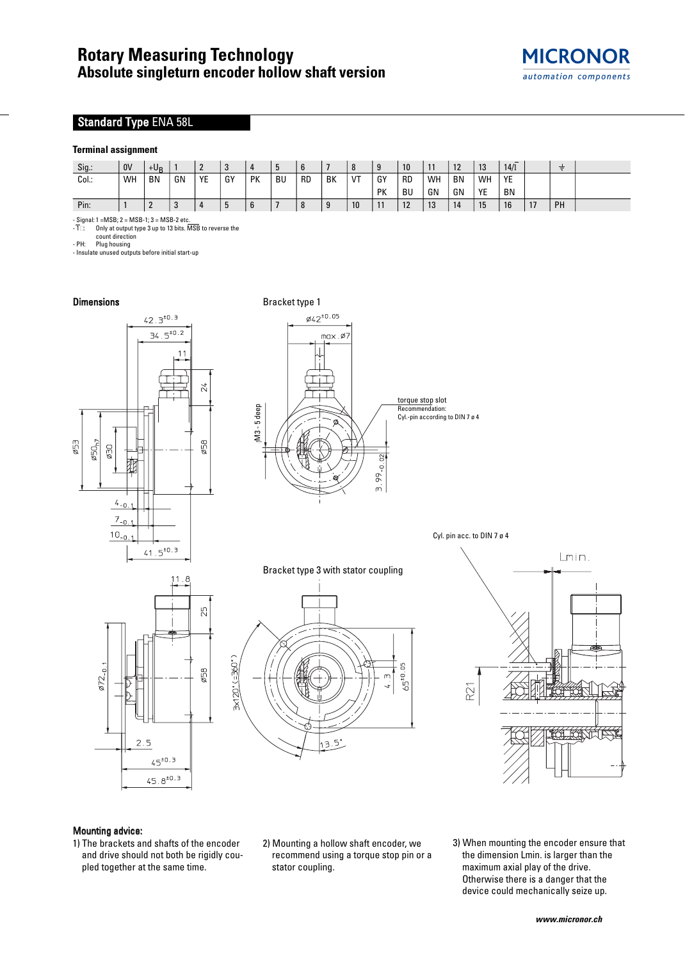# Standard Type ENA 58L

## **Terminal assignment**

| Sig.  | 0V | $+U_P$    |    | -  | ູບ |    | n<br>ູ    |           |    |    | q<br>J | 10        | 11 | 10<br>14  | 13      | 14/1      |    | ≑  |  |
|-------|----|-----------|----|----|----|----|-----------|-----------|----|----|--------|-----------|----|-----------|---------|-----------|----|----|--|
| Col.: | WH | <b>BN</b> | GN | YE | GY | PK | <b>BU</b> | <b>RD</b> | BK | VT | GY     | <b>RD</b> | WH | <b>BN</b> | WH      | YE        |    |    |  |
|       |    |           |    |    |    |    |           |           |    |    | PK     | BU        | GN | GN        | VE<br>ᄔ | <b>BN</b> |    |    |  |
| Pin:  |    | n<br>∸    |    |    | J  | o  |           |           | 9  | 10 | 11     | 12        | 13 | 14        | 15      | 16        | 17 | PH |  |

- Signal: 1 =MSB; 2 = MSB-1; 3 = MSB-2 etc.<br>- T□ Only at output type 3 up to 13 bits. MSB to reverse the

count direction

- PH: Plug housing<br>- Insulate unused outputs before initial start-up



## Mounting advice:

- 1) The brackets and shafts of the encoder and drive should not both be rigidly coupled together at the same time.
- 2) Mounting a hollow shaft encoder, we recommend using a torque stop pin or a stator coupling.
- 3) When mounting the encoder ensure that the dimension Lmin. is larger than the maximum axial play of the drive. Otherwise there is a danger that the device could mechanically seize up.